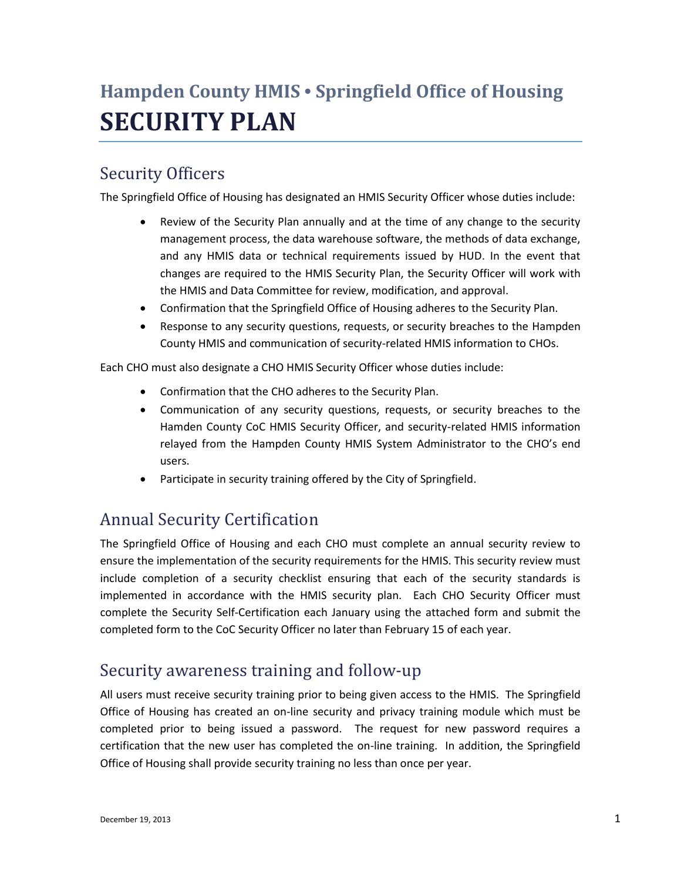# **Hampden County HMIS • Springfield Office of Housing SECURITY PLAN**

# Security Officers

The Springfield Office of Housing has designated an HMIS Security Officer whose duties include:

- Review of the Security Plan annually and at the time of any change to the security management process, the data warehouse software, the methods of data exchange, and any HMIS data or technical requirements issued by HUD. In the event that changes are required to the HMIS Security Plan, the Security Officer will work with the HMIS and Data Committee for review, modification, and approval.
- Confirmation that the Springfield Office of Housing adheres to the Security Plan.
- Response to any security questions, requests, or security breaches to the Hampden County HMIS and communication of security-related HMIS information to CHOs.

Each CHO must also designate a CHO HMIS Security Officer whose duties include:

- Confirmation that the CHO adheres to the Security Plan.
- Communication of any security questions, requests, or security breaches to the Hamden County CoC HMIS Security Officer, and security-related HMIS information relayed from the Hampden County HMIS System Administrator to the CHO's end users.
- Participate in security training offered by the City of Springfield.

## Annual Security Certification

The Springfield Office of Housing and each CHO must complete an annual security review to ensure the implementation of the security requirements for the HMIS. This security review must include completion of a security checklist ensuring that each of the security standards is implemented in accordance with the HMIS security plan. Each CHO Security Officer must complete the Security Self-Certification each January using the attached form and submit the completed form to the CoC Security Officer no later than February 15 of each year.

### Security awareness training and follow-up

All users must receive security training prior to being given access to the HMIS. The Springfield Office of Housing has created an on-line security and privacy training module which must be completed prior to being issued a password. The request for new password requires a certification that the new user has completed the on-line training. In addition, the Springfield Office of Housing shall provide security training no less than once per year.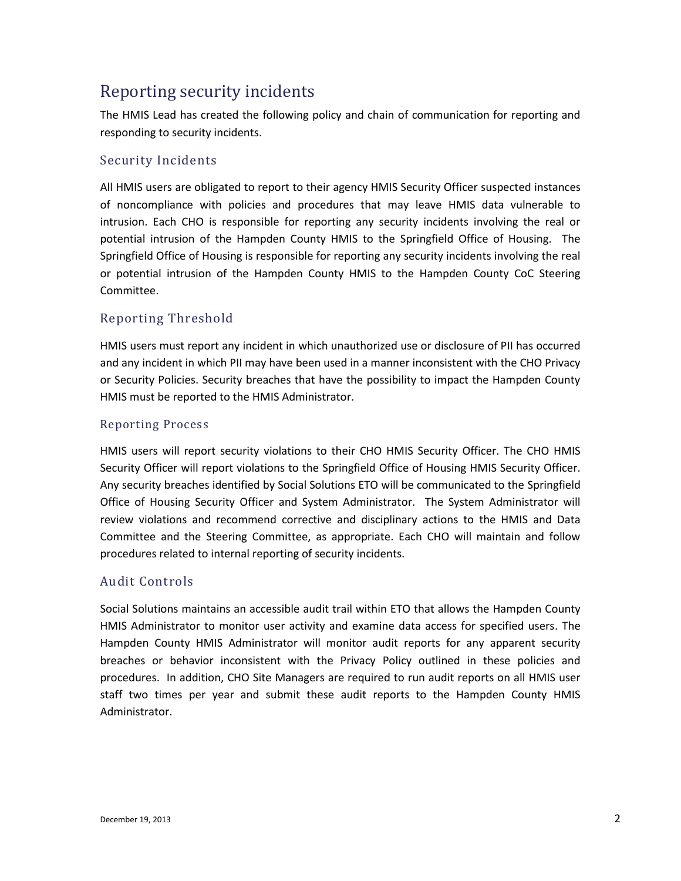# Reporting security incidents

The HMIS Lead has created the following policy and chain of communication for reporting and responding to security incidents.

#### Security Incidents

All HMIS users are obligated to report to their agency HMIS Security Officer suspected instances of noncompliance with policies and procedures that may leave HMIS data vulnerable to intrusion. Each CHO is responsible for reporting any security incidents involving the real or potential intrusion of the Hampden County HMIS to the Springfield Office of Housing. The Springfield Office of Housing is responsible for reporting any security incidents involving the real or potential intrusion of the Hampden County HMIS to the Hampden County CoC Steering Committee.

#### Reporting Threshold

HMIS users must report any incident in which unauthorized use or disclosure of PII has occurred and any incident in which PII may have been used in a manner inconsistent with the CHO Privacy or Security Policies. Security breaches that have the possibility to impact the Hampden County HMIS must be reported to the HMIS Administrator.

#### Reporting Process

HMIS users will report security violations to their CHO HMIS Security Officer. The CHO HMIS Security Officer will report violations to the Springfield Office of Housing HMIS Security Officer. Any security breaches identified by Social Solutions ETO will be communicated to the Springfield Office of Housing Security Officer and System Administrator. The System Administrator will review violations and recommend corrective and disciplinary actions to the HMIS and Data Committee and the Steering Committee, as appropriate. Each CHO will maintain and follow procedures related to internal reporting of security incidents.

#### Audit Controls

Social Solutions maintains an accessible audit trail within ETO that allows the Hampden County HMIS Administrator to monitor user activity and examine data access for specified users. The Hampden County HMIS Administrator will monitor audit reports for any apparent security breaches or behavior inconsistent with the Privacy Policy outlined in these policies and procedures. In addition, CHO Site Managers are required to run audit reports on all HMIS user staff two times per year and submit these audit reports to the Hampden County HMIS Administrator.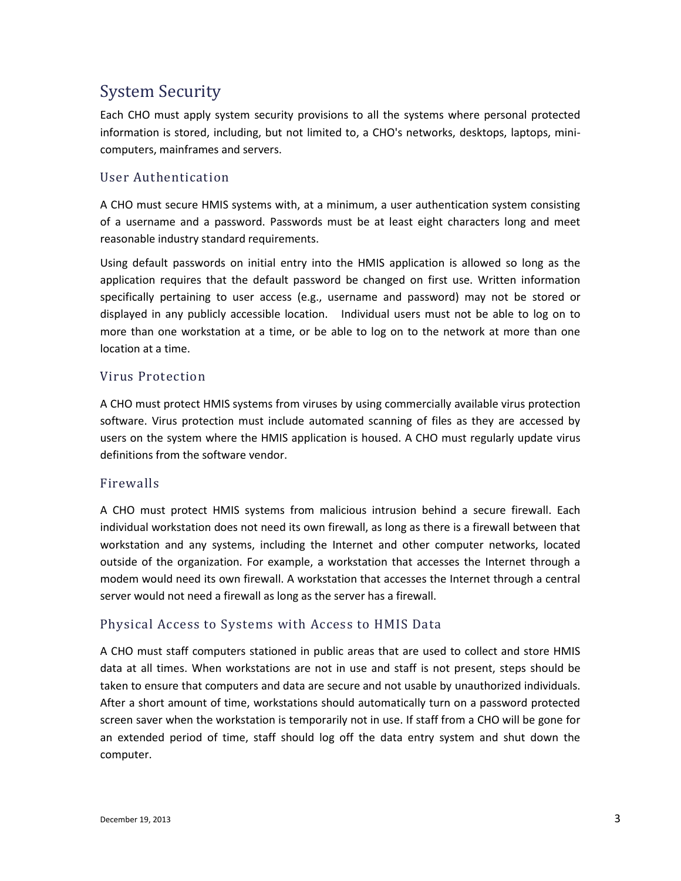# System Security

Each CHO must apply system security provisions to all the systems where personal protected information is stored, including, but not limited to, a CHO's networks, desktops, laptops, minicomputers, mainframes and servers.

#### User Authentication

A CHO must secure HMIS systems with, at a minimum, a user authentication system consisting of a username and a password. Passwords must be at least eight characters long and meet reasonable industry standard requirements.

Using default passwords on initial entry into the HMIS application is allowed so long as the application requires that the default password be changed on first use. Written information specifically pertaining to user access (e.g., username and password) may not be stored or displayed in any publicly accessible location. Individual users must not be able to log on to more than one workstation at a time, or be able to log on to the network at more than one location at a time.

#### Virus Protection

A CHO must protect HMIS systems from viruses by using commercially available virus protection software. Virus protection must include automated scanning of files as they are accessed by users on the system where the HMIS application is housed. A CHO must regularly update virus definitions from the software vendor.

#### Firewalls

A CHO must protect HMIS systems from malicious intrusion behind a secure firewall. Each individual workstation does not need its own firewall, as long as there is a firewall between that workstation and any systems, including the Internet and other computer networks, located outside of the organization. For example, a workstation that accesses the Internet through a modem would need its own firewall. A workstation that accesses the Internet through a central server would not need a firewall as long as the server has a firewall.

#### Physical Access to Systems with Access to HMIS Data

A CHO must staff computers stationed in public areas that are used to collect and store HMIS data at all times. When workstations are not in use and staff is not present, steps should be taken to ensure that computers and data are secure and not usable by unauthorized individuals. After a short amount of time, workstations should automatically turn on a password protected screen saver when the workstation is temporarily not in use. If staff from a CHO will be gone for an extended period of time, staff should log off the data entry system and shut down the computer.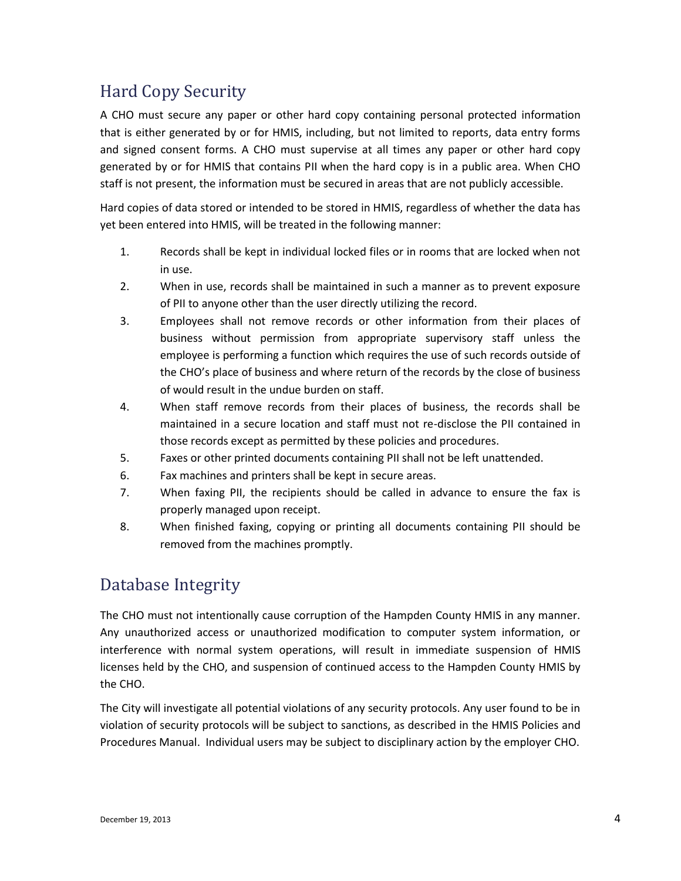# Hard Copy Security

A CHO must secure any paper or other hard copy containing personal protected information that is either generated by or for HMIS, including, but not limited to reports, data entry forms and signed consent forms. A CHO must supervise at all times any paper or other hard copy generated by or for HMIS that contains PII when the hard copy is in a public area. When CHO staff is not present, the information must be secured in areas that are not publicly accessible.

Hard copies of data stored or intended to be stored in HMIS, regardless of whether the data has yet been entered into HMIS, will be treated in the following manner:

- 1. Records shall be kept in individual locked files or in rooms that are locked when not in use.
- 2. When in use, records shall be maintained in such a manner as to prevent exposure of PII to anyone other than the user directly utilizing the record.
- 3. Employees shall not remove records or other information from their places of business without permission from appropriate supervisory staff unless the employee is performing a function which requires the use of such records outside of the CHO's place of business and where return of the records by the close of business of would result in the undue burden on staff.
- 4. When staff remove records from their places of business, the records shall be maintained in a secure location and staff must not re-disclose the PII contained in those records except as permitted by these policies and procedures.
- 5. Faxes or other printed documents containing PII shall not be left unattended.
- 6. Fax machines and printers shall be kept in secure areas.
- 7. When faxing PII, the recipients should be called in advance to ensure the fax is properly managed upon receipt.
- 8. When finished faxing, copying or printing all documents containing PII should be removed from the machines promptly.

## Database Integrity

The CHO must not intentionally cause corruption of the Hampden County HMIS in any manner. Any unauthorized access or unauthorized modification to computer system information, or interference with normal system operations, will result in immediate suspension of HMIS licenses held by the CHO, and suspension of continued access to the Hampden County HMIS by the CHO.

The City will investigate all potential violations of any security protocols. Any user found to be in violation of security protocols will be subject to sanctions, as described in the HMIS Policies and Procedures Manual. Individual users may be subject to disciplinary action by the employer CHO.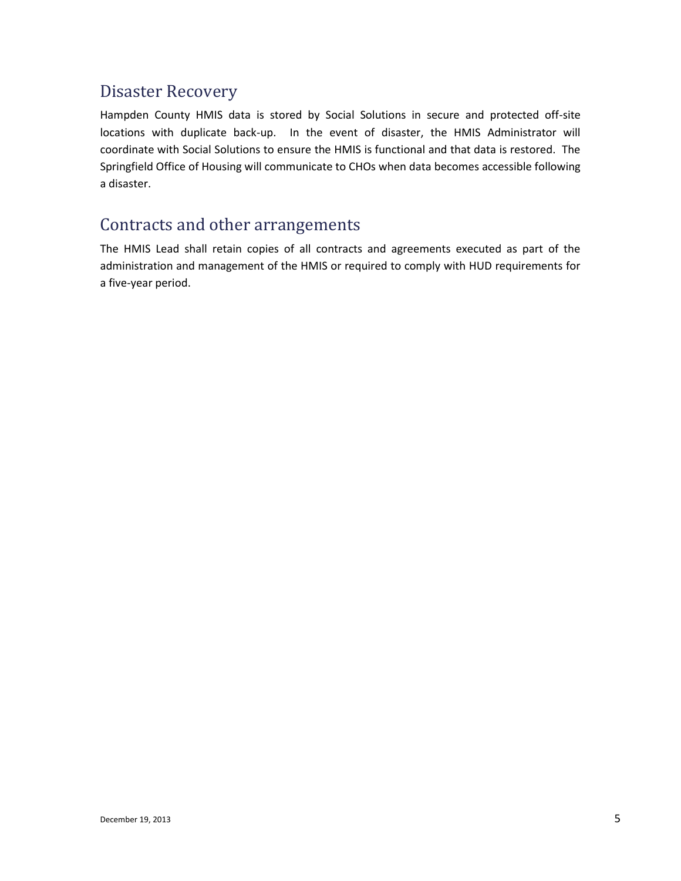# Disaster Recovery

Hampden County HMIS data is stored by Social Solutions in secure and protected off-site locations with duplicate back-up. In the event of disaster, the HMIS Administrator will coordinate with Social Solutions to ensure the HMIS is functional and that data is restored. The Springfield Office of Housing will communicate to CHOs when data becomes accessible following a disaster.

### Contracts and other arrangements

The HMIS Lead shall retain copies of all contracts and agreements executed as part of the administration and management of the HMIS or required to comply with HUD requirements for a five-year period.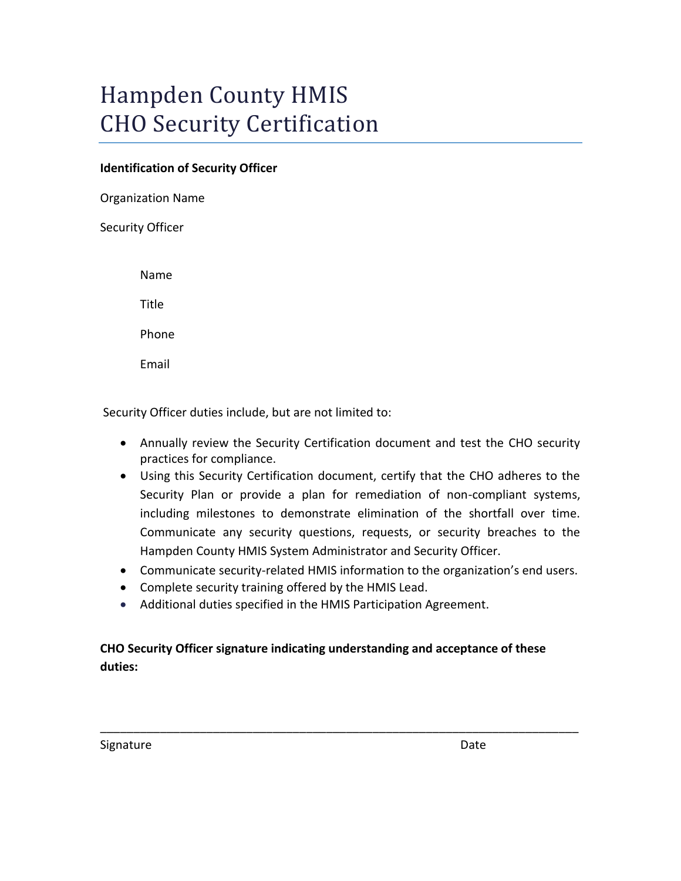# Hampden County HMIS CHO Security Certification

#### **Identification of Security Officer**

Organization Name

Security Officer

Name

Title

Phone

Email

Security Officer duties include, but are not limited to:

- Annually review the Security Certification document and test the CHO security practices for compliance.
- Using this Security Certification document, certify that the CHO adheres to the Security Plan or provide a plan for remediation of non-compliant systems, including milestones to demonstrate elimination of the shortfall over time. Communicate any security questions, requests, or security breaches to the Hampden County HMIS System Administrator and Security Officer.
- Communicate security-related HMIS information to the organization's end users.
- Complete security training offered by the HMIS Lead.
- Additional duties specified in the HMIS Participation Agreement.

#### **CHO Security Officer signature indicating understanding and acceptance of these duties:**

\_\_\_\_\_\_\_\_\_\_\_\_\_\_\_\_\_\_\_\_\_\_\_\_\_\_\_\_\_\_\_\_\_\_\_\_\_\_\_\_\_\_\_\_\_\_\_\_\_\_\_\_\_\_\_\_\_\_\_\_\_\_\_\_\_\_\_\_\_\_\_\_

Signature Date Date Date Date Date Date Date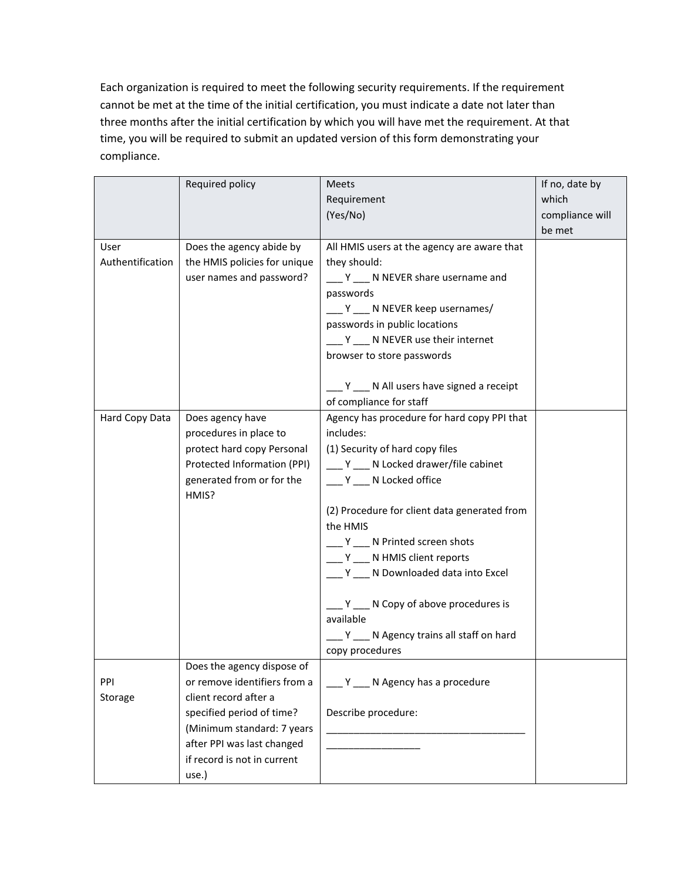Each organization is required to meet the following security requirements. If the requirement cannot be met at the time of the initial certification, you must indicate a date not later than three months after the initial certification by which you will have met the requirement. At that time, you will be required to submit an updated version of this form demonstrating your compliance.

|                  | Required policy              | Meets                                        | If no, date by  |
|------------------|------------------------------|----------------------------------------------|-----------------|
|                  |                              | Requirement                                  | which           |
|                  |                              | (Yes/No)                                     | compliance will |
|                  |                              |                                              | be met          |
| User             | Does the agency abide by     | All HMIS users at the agency are aware that  |                 |
| Authentification | the HMIS policies for unique | they should:                                 |                 |
|                  | user names and password?     | ___ Y ___ N NEVER share username and         |                 |
|                  |                              | passwords                                    |                 |
|                  |                              | __ Y ___ N NEVER keep usernames/             |                 |
|                  |                              | passwords in public locations                |                 |
|                  |                              | Y __ N NEVER use their internet              |                 |
|                  |                              | browser to store passwords                   |                 |
|                  |                              | Y ___ N All users have signed a receipt      |                 |
|                  |                              | of compliance for staff                      |                 |
| Hard Copy Data   | Does agency have             | Agency has procedure for hard copy PPI that  |                 |
|                  | procedures in place to       | includes:                                    |                 |
|                  | protect hard copy Personal   | (1) Security of hard copy files              |                 |
|                  | Protected Information (PPI)  | Y __ N Locked drawer/file cabinet            |                 |
|                  | generated from or for the    | ___ Y ___ N Locked office                    |                 |
|                  | HMIS?                        |                                              |                 |
|                  |                              | (2) Procedure for client data generated from |                 |
|                  |                              | the HMIS                                     |                 |
|                  |                              | Y __ N Printed screen shots                  |                 |
|                  |                              | __ Y __ N HMIS client reports                |                 |
|                  |                              | Y N Downloaded data into Excel               |                 |
|                  |                              | N Copy of above procedures is                |                 |
|                  |                              | available                                    |                 |
|                  |                              | __ Y __ N Agency trains all staff on hard    |                 |
|                  |                              | copy procedures                              |                 |
|                  | Does the agency dispose of   |                                              |                 |
| PPI              | or remove identifiers from a | Y __ N Agency has a procedure                |                 |
| Storage          | client record after a        |                                              |                 |
|                  | specified period of time?    | Describe procedure:                          |                 |
|                  | (Minimum standard: 7 years   |                                              |                 |
|                  | after PPI was last changed   |                                              |                 |
|                  | if record is not in current  |                                              |                 |
|                  | use.)                        |                                              |                 |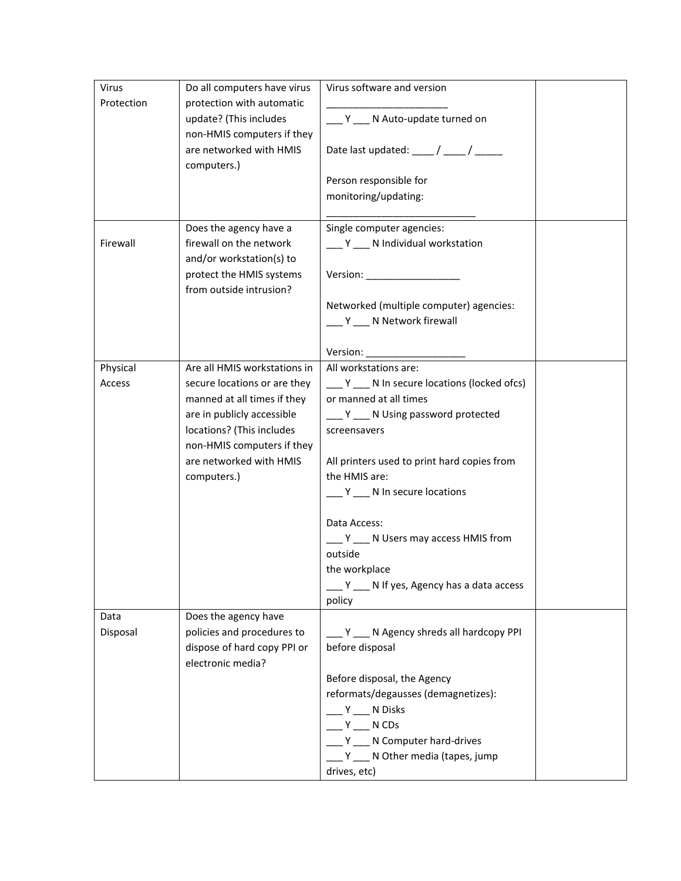| Virus      | Do all computers have virus                           | Virus software and version                                                                                                                                                                                                              |  |
|------------|-------------------------------------------------------|-----------------------------------------------------------------------------------------------------------------------------------------------------------------------------------------------------------------------------------------|--|
| Protection | protection with automatic                             |                                                                                                                                                                                                                                         |  |
|            | update? (This includes                                | Y ___ N Auto-update turned on                                                                                                                                                                                                           |  |
|            | non-HMIS computers if they                            |                                                                                                                                                                                                                                         |  |
|            | are networked with HMIS<br>computers.)                | Date last updated: $\frac{1}{\sqrt{2}}$ / $\frac{1}{\sqrt{2}}$                                                                                                                                                                          |  |
|            |                                                       | Person responsible for                                                                                                                                                                                                                  |  |
|            |                                                       | monitoring/updating:                                                                                                                                                                                                                    |  |
|            |                                                       |                                                                                                                                                                                                                                         |  |
|            | Does the agency have a                                | Single computer agencies:                                                                                                                                                                                                               |  |
| Firewall   | firewall on the network                               | __ Y __ N Individual workstation                                                                                                                                                                                                        |  |
|            | and/or workstation(s) to                              |                                                                                                                                                                                                                                         |  |
|            | protect the HMIS systems                              |                                                                                                                                                                                                                                         |  |
|            | from outside intrusion?                               |                                                                                                                                                                                                                                         |  |
|            |                                                       | Networked (multiple computer) agencies:                                                                                                                                                                                                 |  |
|            |                                                       | Y __ N Network firewall                                                                                                                                                                                                                 |  |
|            |                                                       |                                                                                                                                                                                                                                         |  |
|            |                                                       | Version: Were all the control of the control of the control of the control of the control of the control of the control of the control of the control of the control of the control of the control of the control of the contr          |  |
| Physical   | Are all HMIS workstations in                          | All workstations are:                                                                                                                                                                                                                   |  |
| Access     | secure locations or are they                          | $Y$ N In secure locations (locked ofcs)                                                                                                                                                                                                 |  |
|            | manned at all times if they                           | or manned at all times                                                                                                                                                                                                                  |  |
|            | are in publicly accessible                            | __ Y __ N Using password protected                                                                                                                                                                                                      |  |
|            | locations? (This includes                             | screensavers                                                                                                                                                                                                                            |  |
|            | non-HMIS computers if they<br>are networked with HMIS |                                                                                                                                                                                                                                         |  |
|            | computers.)                                           | All printers used to print hard copies from<br>the HMIS are:                                                                                                                                                                            |  |
|            |                                                       | __ Y __ N In secure locations                                                                                                                                                                                                           |  |
|            |                                                       |                                                                                                                                                                                                                                         |  |
|            |                                                       | Data Access:                                                                                                                                                                                                                            |  |
|            |                                                       | Y ___ N Users may access HMIS from                                                                                                                                                                                                      |  |
|            |                                                       | outside                                                                                                                                                                                                                                 |  |
|            |                                                       | the workplace                                                                                                                                                                                                                           |  |
|            |                                                       | Y __ N If yes, Agency has a data access                                                                                                                                                                                                 |  |
|            |                                                       | policy                                                                                                                                                                                                                                  |  |
| Data       | Does the agency have                                  |                                                                                                                                                                                                                                         |  |
| Disposal   | policies and procedures to                            | Y N Agency shreds all hardcopy PPI                                                                                                                                                                                                      |  |
|            | dispose of hard copy PPI or                           | before disposal                                                                                                                                                                                                                         |  |
|            | electronic media?                                     |                                                                                                                                                                                                                                         |  |
|            |                                                       | Before disposal, the Agency                                                                                                                                                                                                             |  |
|            |                                                       | reformats/degausses (demagnetizes):                                                                                                                                                                                                     |  |
|            |                                                       | Y N Disks                                                                                                                                                                                                                               |  |
|            |                                                       | Y and the set of the set of the set of the set of the set of the set of the set of the set of the set of the set of the set of the set of the set of the set of the set of the set of the set of the set of the set of the set<br>N CDs |  |
|            |                                                       | Y ___ N Computer hard-drives                                                                                                                                                                                                            |  |
|            |                                                       | Y ___ N Other media (tapes, jump<br>drives, etc)                                                                                                                                                                                        |  |
|            |                                                       |                                                                                                                                                                                                                                         |  |